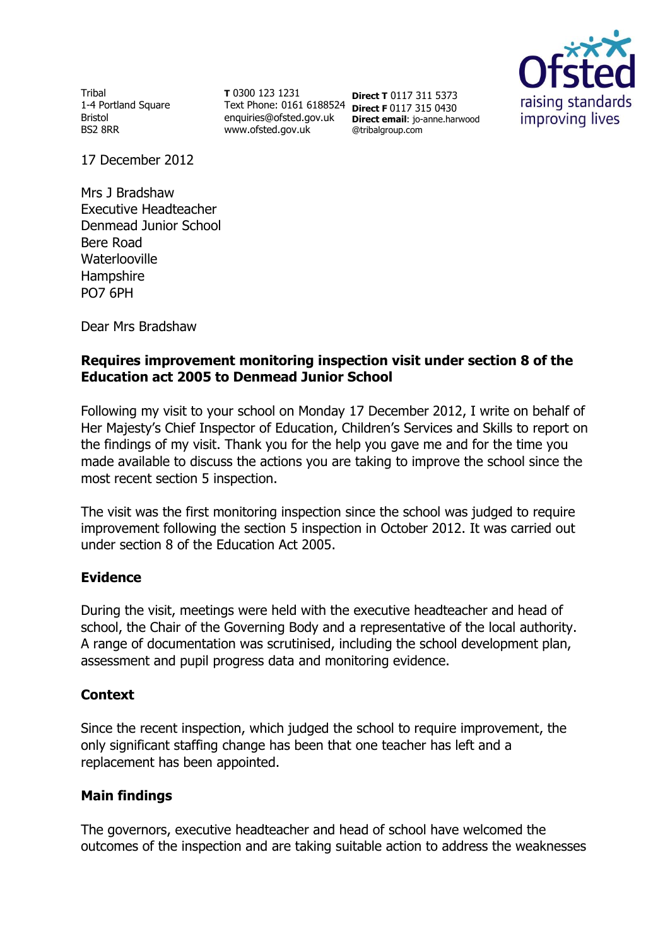Tribal 1-4 Portland Square Bristol BS2 8RR

**T** 0300 123 1231 Text Phone: 0161 6188524 **Direct F** 0117 315 0430 enquiries@ofsted.gov.uk www.ofsted.gov.uk

**Direct T** 0117 311 5373 **Direct email**: jo-anne.harwood @tribalgroup.com



17 December 2012

Mrs J Bradshaw Executive Headteacher Denmead Junior School Bere Road **Waterlooville** Hampshire PO7 6PH

Dear Mrs Bradshaw

# **Requires improvement monitoring inspection visit under section 8 of the Education act 2005 to Denmead Junior School**

Following my visit to your school on Monday 17 December 2012, I write on behalf of Her Majesty's Chief Inspector of Education, Children's Services and Skills to report on the findings of my visit. Thank you for the help you gave me and for the time you made available to discuss the actions you are taking to improve the school since the most recent section 5 inspection.

The visit was the first monitoring inspection since the school was judged to require improvement following the section 5 inspection in October 2012. It was carried out under section 8 of the Education Act 2005.

## **Evidence**

During the visit, meetings were held with the executive headteacher and head of school, the Chair of the Governing Body and a representative of the local authority. A range of documentation was scrutinised, including the school development plan, assessment and pupil progress data and monitoring evidence.

## **Context**

Since the recent inspection, which judged the school to require improvement, the only significant staffing change has been that one teacher has left and a replacement has been appointed.

## **Main findings**

The governors, executive headteacher and head of school have welcomed the outcomes of the inspection and are taking suitable action to address the weaknesses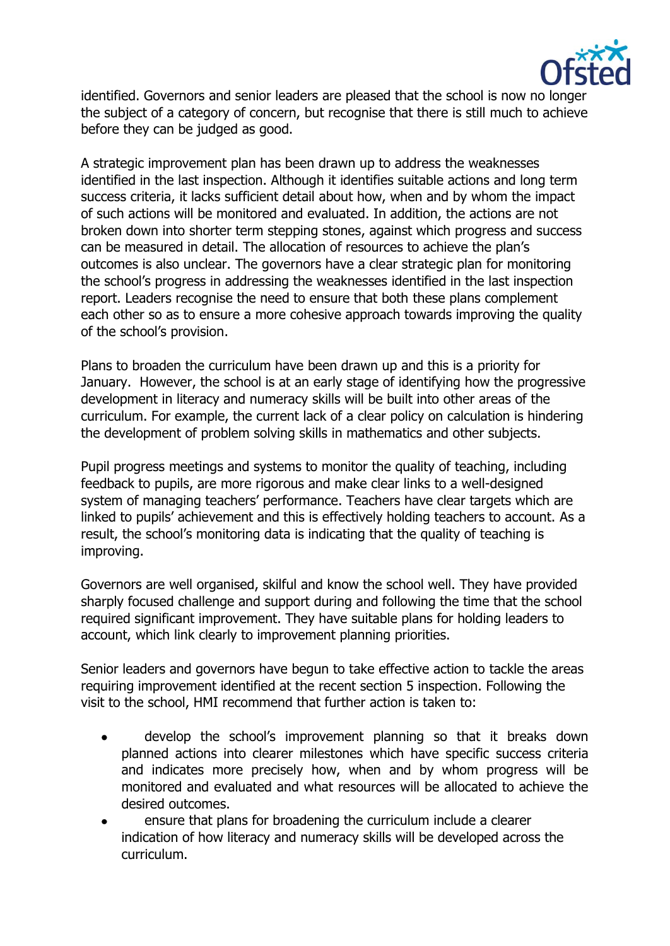

identified. Governors and senior leaders are pleased that the school is now no longer the subject of a category of concern, but recognise that there is still much to achieve before they can be judged as good.

A strategic improvement plan has been drawn up to address the weaknesses identified in the last inspection. Although it identifies suitable actions and long term success criteria, it lacks sufficient detail about how, when and by whom the impact of such actions will be monitored and evaluated. In addition, the actions are not broken down into shorter term stepping stones, against which progress and success can be measured in detail. The allocation of resources to achieve the plan's outcomes is also unclear. The governors have a clear strategic plan for monitoring the school's progress in addressing the weaknesses identified in the last inspection report. Leaders recognise the need to ensure that both these plans complement each other so as to ensure a more cohesive approach towards improving the quality of the school's provision.

Plans to broaden the curriculum have been drawn up and this is a priority for January. However, the school is at an early stage of identifying how the progressive development in literacy and numeracy skills will be built into other areas of the curriculum. For example, the current lack of a clear policy on calculation is hindering the development of problem solving skills in mathematics and other subjects.

Pupil progress meetings and systems to monitor the quality of teaching, including feedback to pupils, are more rigorous and make clear links to a well-designed system of managing teachers' performance. Teachers have clear targets which are linked to pupils' achievement and this is effectively holding teachers to account. As a result, the school's monitoring data is indicating that the quality of teaching is improving.

Governors are well organised, skilful and know the school well. They have provided sharply focused challenge and support during and following the time that the school required significant improvement. They have suitable plans for holding leaders to account, which link clearly to improvement planning priorities.

Senior leaders and governors have begun to take effective action to tackle the areas requiring improvement identified at the recent section 5 inspection. Following the visit to the school, HMI recommend that further action is taken to:

- develop the school's improvement planning so that it breaks down  $\bullet$ planned actions into clearer milestones which have specific success criteria and indicates more precisely how, when and by whom progress will be monitored and evaluated and what resources will be allocated to achieve the desired outcomes.
- ensure that plans for broadening the curriculum include a clearer  $\bullet$ indication of how literacy and numeracy skills will be developed across the curriculum.